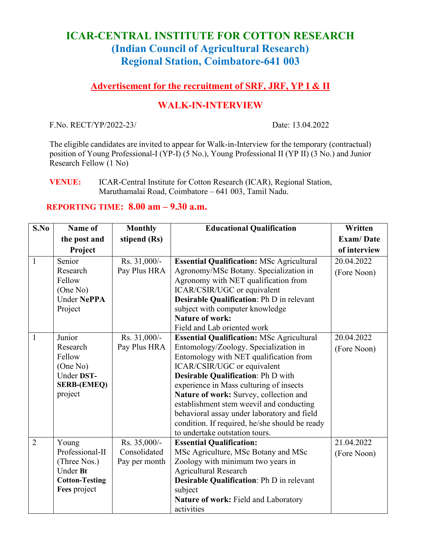## **ICAR-CENTRAL INSTITUTE FOR COTTON RESEARCH (Indian Council of Agricultural Research) Regional Station, Coimbatore-641 003**

## **Advertisement for the recruitment of SRF, JRF, YP I & II**

## **WALK-IN-INTERVIEW**

F.No. RECT/YP/2022-23/ Date: 13.04.2022

The eligible candidates are invited to appear for Walk-in-Interview for the temporary (contractual) position of Young Professional-I (YP-I) (5 No.), Young Professional II (YP II) (3 No.) and Junior Research Fellow (1 No)

**VENUE:** ICAR-Central Institute for Cotton Research (ICAR), Regional Station, Maruthamalai Road, Coimbatore – 641 003, Tamil Nadu.

## **REPORTING TIME: 8.00 am – 9.30 a.m.**

| S.No           | Name of               | <b>Monthly</b> | <b>Educational Qualification</b>                 | Written          |
|----------------|-----------------------|----------------|--------------------------------------------------|------------------|
|                | the post and          | stipend (Rs)   |                                                  | <b>Exam/Date</b> |
|                | Project               |                |                                                  | of interview     |
| $\mathbf{1}$   | Senior                | Rs. 31,000/-   | <b>Essential Qualification: MSc Agricultural</b> | 20.04.2022       |
|                | Research              | Pay Plus HRA   | Agronomy/MSc Botany. Specialization in           | (Fore Noon)      |
|                | Fellow                |                | Agronomy with NET qualification from             |                  |
|                | (One No)              |                | ICAR/CSIR/UGC or equivalent                      |                  |
|                | <b>Under NePPA</b>    |                | Desirable Qualification: Ph D in relevant        |                  |
|                | Project               |                | subject with computer knowledge                  |                  |
|                |                       |                | <b>Nature of work:</b>                           |                  |
|                |                       |                | Field and Lab oriented work                      |                  |
| $\mathbf{1}$   | Junior                | Rs. 31,000/-   | <b>Essential Qualification: MSc Agricultural</b> | 20.04.2022       |
|                | Research              | Pay Plus HRA   | Entomology/Zoology. Specialization in            | (Fore Noon)      |
|                | Fellow                |                | Entomology with NET qualification from           |                  |
|                | (One No)              |                | ICAR/CSIR/UGC or equivalent                      |                  |
|                | Under DST-            |                | <b>Desirable Qualification: Ph D with</b>        |                  |
|                | <b>SERB-(EMEQ)</b>    |                | experience in Mass culturing of insects          |                  |
|                | project               |                | Nature of work: Survey, collection and           |                  |
|                |                       |                | establishment stem weevil and conducting         |                  |
|                |                       |                | behavioral assay under laboratory and field      |                  |
|                |                       |                | condition. If required, he/she should be ready   |                  |
|                |                       |                | to undertake outstation tours.                   |                  |
| $\overline{2}$ | Young                 | Rs. 35,000/-   | <b>Essential Qualification:</b>                  | 21.04.2022       |
|                | Professional-II       | Consolidated   | MSc Agriculture, MSc Botany and MSc              | (Fore Noon)      |
|                | (Three Nos.)          | Pay per month  | Zoology with minimum two years in                |                  |
|                | Under Bt              |                | <b>Agricultural Research</b>                     |                  |
|                | <b>Cotton-Testing</b> |                | Desirable Qualification: Ph D in relevant        |                  |
|                | Fees project          |                | subject                                          |                  |
|                |                       |                | Nature of work: Field and Laboratory             |                  |
|                |                       |                | activities                                       |                  |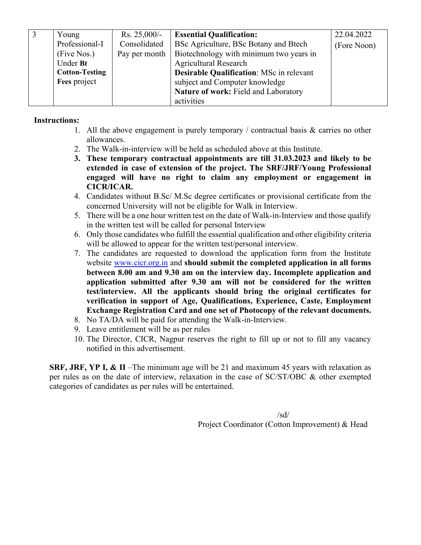| Young                 | Rs. $25,000/-$ | <b>Essential Qualification:</b>                 | 22.04.2022  |
|-----------------------|----------------|-------------------------------------------------|-------------|
| Professional-I        | Consolidated   | BSc Agriculture, BSc Botany and Btech           | (Fore Noon) |
| (Five Nos.)           | Pay per month  | Biotechnology with minimum two years in         |             |
| Under Bt              |                | <b>Agricultural Research</b>                    |             |
| <b>Cotton-Testing</b> |                | <b>Desirable Qualification: MSc in relevant</b> |             |
| Fees project          |                | subject and Computer knowledge                  |             |
|                       |                | Nature of work: Field and Laboratory            |             |
|                       |                | activities                                      |             |

#### **Instructions:**

- 1. All the above engagement is purely temporary / contractual basis & carries no other allowances.
- 2. The Walk-in-interview will be held as scheduled above at this Institute.
- **3. These temporary contractual appointments are till 31.03.2023 and likely to be extended in case of extension of the project. The SRF/JRF/Young Professional engaged will have no right to claim any employment or engagement in CICR/ICAR.**
- 4. Candidates without B.Sc/ M.Sc degree certificates or provisional certificate from the concerned University will not be eligible for Walk in Interview.
- 5. There will be a one hour written test on the date of Walk-in-Interview and those qualify in the written test will be called for personal Interview
- 6. Only those candidates who fulfill the essential qualification and other eligibility criteria will be allowed to appear for the written test/personal interview.
- 7. The candidates are requested to download the application form from the Institute website [www.cicr.org.in](http://www.cicr.org.in/) and **should submit the completed application in all forms between 8.00 am and 9.30 am on the interview day. Incomplete application and application submitted after 9.30 am will not be considered for the written test/interview. All the applicants should bring the original certificates for verification in support of Age, Qualifications, Experience, Caste, Employment Exchange Registration Card and one set of Photocopy of the relevant documents.**
- 8. No TA/DA will be paid for attending the Walk-in-Interview.
- 9. Leave entitlement will be as per rules
- 10. The Director, CICR, Nagpur reserves the right to fill up or not to fill any vacancy notified in this advertisement.

**SRF, JRF, YP I, & II** –The minimum age will be 21 and maximum 45 years with relaxation as per rules as on the date of interview, relaxation in the case of SC/ST/OBC & other exempted categories of candidates as per rules will be entertained.

> $/sd/$ Project Coordinator (Cotton Improvement) & Head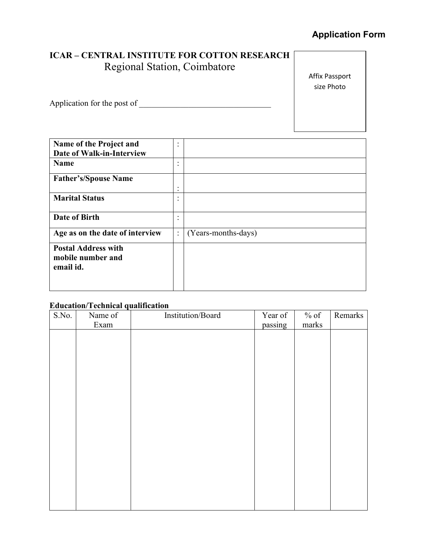# **Application Form**

## **ICAR – CENTRAL INSTITUTE FOR COTTON RESEARCH** Regional Station, Coimbatore

Affix Passport size Photo

Application for the post of \_\_\_\_\_\_\_\_\_\_\_\_\_\_\_\_\_\_\_\_\_\_\_\_\_\_\_\_\_\_\_\_

| Name of the Project and<br><b>Date of Walk-in-Interview</b>  | $\bullet$<br>$\cdot$ |                     |
|--------------------------------------------------------------|----------------------|---------------------|
| <b>Name</b>                                                  | ٠<br>٠               |                     |
| <b>Father's/Spouse Name</b>                                  | ٠                    |                     |
|                                                              | ٠                    |                     |
| <b>Marital Status</b>                                        | $\bullet$<br>٠       |                     |
| Date of Birth                                                | ٠<br>٠               |                     |
| Age as on the date of interview                              | $\vdots$             | (Years-months-days) |
| <b>Postal Address with</b><br>mobile number and<br>email id. |                      |                     |

## **Education/Technical qualification**

| S.No. | Name of | Institution/Board | Year of | $%$ of                 | Remarks |
|-------|---------|-------------------|---------|------------------------|---------|
|       | Exam    |                   | passing | $\operatorname{marks}$ |         |
|       |         |                   |         |                        |         |
|       |         |                   |         |                        |         |
|       |         |                   |         |                        |         |
|       |         |                   |         |                        |         |
|       |         |                   |         |                        |         |
|       |         |                   |         |                        |         |
|       |         |                   |         |                        |         |
|       |         |                   |         |                        |         |
|       |         |                   |         |                        |         |
|       |         |                   |         |                        |         |
|       |         |                   |         |                        |         |
|       |         |                   |         |                        |         |
|       |         |                   |         |                        |         |
|       |         |                   |         |                        |         |
|       |         |                   |         |                        |         |
|       |         |                   |         |                        |         |
|       |         |                   |         |                        |         |
|       |         |                   |         |                        |         |